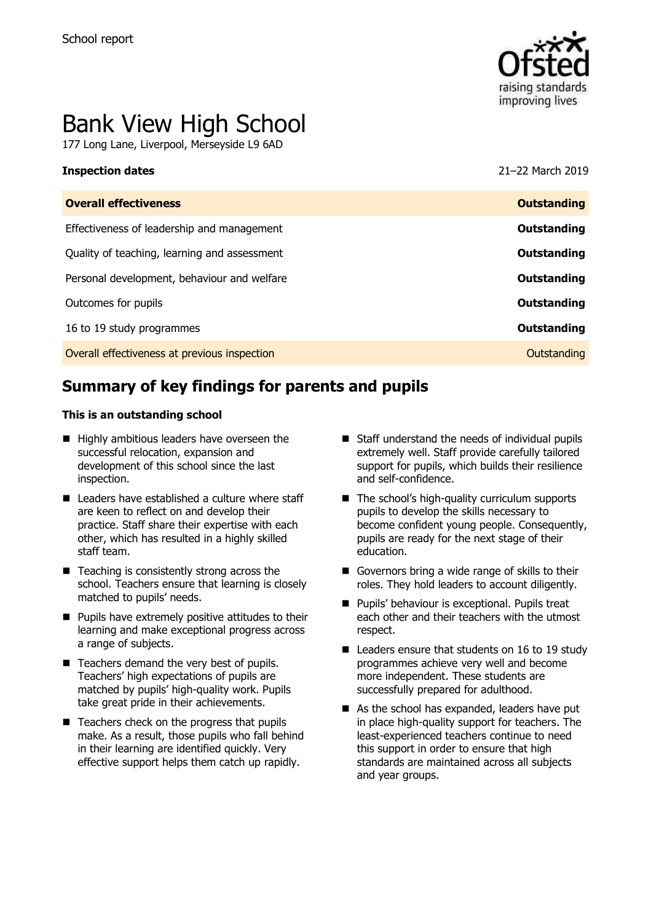

# Bank View High School

177 Long Lane, Liverpool, Merseyside L9 6AD

#### **Inspection dates** 21–22 March 2019

| <b>Overall effectiveness</b>                 | <b>Outstanding</b> |
|----------------------------------------------|--------------------|
| Effectiveness of leadership and management   | Outstanding        |
| Quality of teaching, learning and assessment | Outstanding        |
| Personal development, behaviour and welfare  | <b>Outstanding</b> |
| Outcomes for pupils                          | Outstanding        |
| 16 to 19 study programmes                    | <b>Outstanding</b> |
| Overall effectiveness at previous inspection | Outstanding        |
|                                              |                    |

# **Summary of key findings for parents and pupils**

#### **This is an outstanding school**

- Highly ambitious leaders have overseen the successful relocation, expansion and development of this school since the last inspection.
- Leaders have established a culture where staff are keen to reflect on and develop their practice. Staff share their expertise with each other, which has resulted in a highly skilled staff team.
- Teaching is consistently strong across the school. Teachers ensure that learning is closely matched to pupils' needs.
- Pupils have extremely positive attitudes to their learning and make exceptional progress across a range of subjects.
- Teachers demand the very best of pupils. Teachers' high expectations of pupils are matched by pupils' high-quality work. Pupils take great pride in their achievements.
- Teachers check on the progress that pupils make. As a result, those pupils who fall behind in their learning are identified quickly. Very effective support helps them catch up rapidly.
- Staff understand the needs of individual pupils extremely well. Staff provide carefully tailored support for pupils, which builds their resilience and self-confidence.
- The school's high-quality curriculum supports pupils to develop the skills necessary to become confident young people. Consequently, pupils are ready for the next stage of their education.
- Governors bring a wide range of skills to their roles. They hold leaders to account diligently.
- Pupils' behaviour is exceptional. Pupils treat each other and their teachers with the utmost respect.
- Leaders ensure that students on 16 to 19 study programmes achieve very well and become more independent. These students are successfully prepared for adulthood.
- As the school has expanded, leaders have put in place high-quality support for teachers. The least-experienced teachers continue to need this support in order to ensure that high standards are maintained across all subjects and year groups.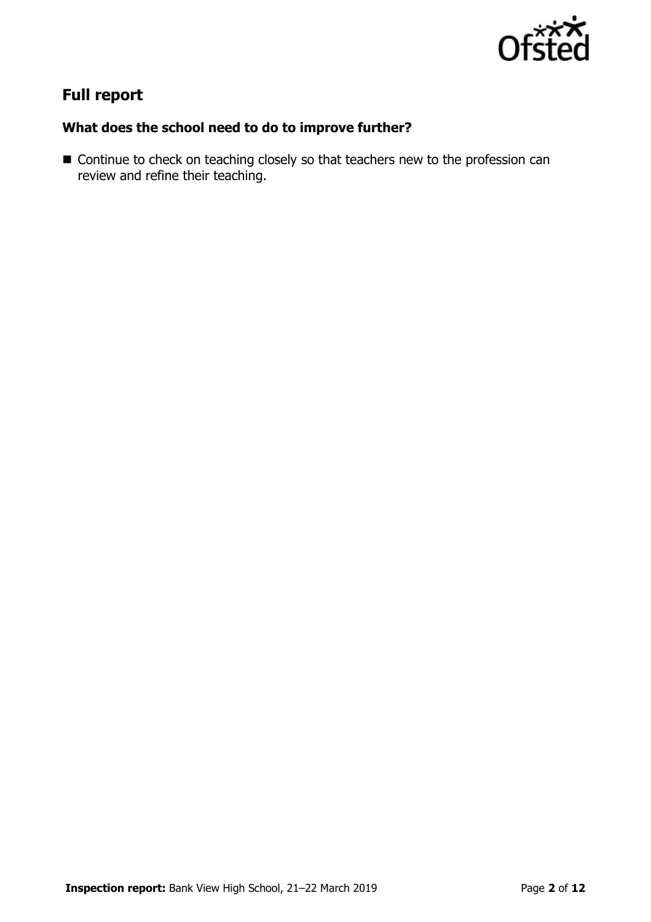

# **Full report**

## **What does the school need to do to improve further?**

■ Continue to check on teaching closely so that teachers new to the profession can review and refine their teaching.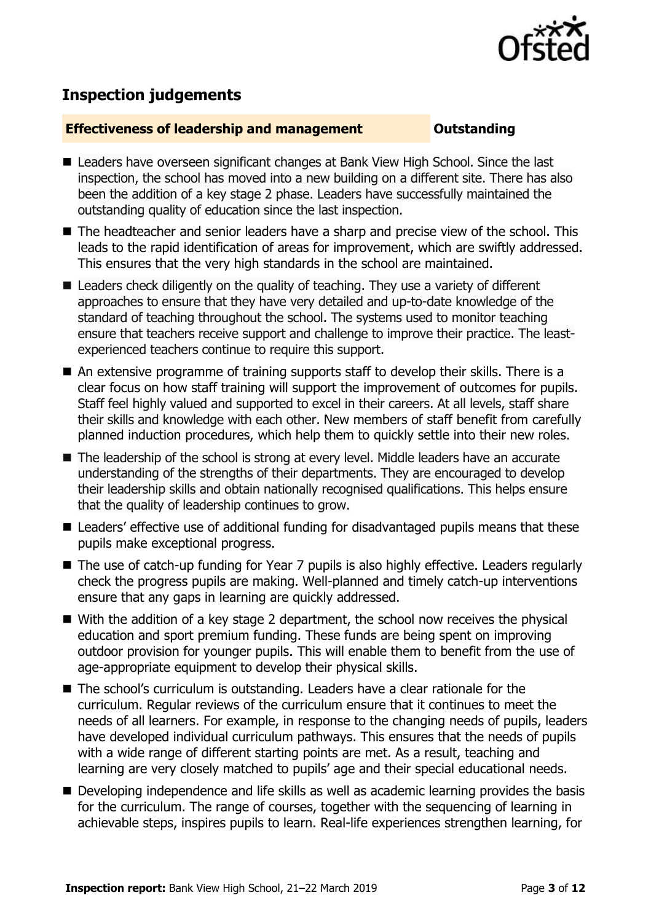

# **Inspection judgements**

#### **Effectiveness of leadership and management Constanding**

- Leaders have overseen significant changes at Bank View High School. Since the last inspection, the school has moved into a new building on a different site. There has also been the addition of a key stage 2 phase. Leaders have successfully maintained the outstanding quality of education since the last inspection.
- The headteacher and senior leaders have a sharp and precise view of the school. This leads to the rapid identification of areas for improvement, which are swiftly addressed. This ensures that the very high standards in the school are maintained.
- $\blacksquare$  Leaders check diligently on the quality of teaching. They use a variety of different approaches to ensure that they have very detailed and up-to-date knowledge of the standard of teaching throughout the school. The systems used to monitor teaching ensure that teachers receive support and challenge to improve their practice. The leastexperienced teachers continue to require this support.
- An extensive programme of training supports staff to develop their skills. There is a clear focus on how staff training will support the improvement of outcomes for pupils. Staff feel highly valued and supported to excel in their careers. At all levels, staff share their skills and knowledge with each other. New members of staff benefit from carefully planned induction procedures, which help them to quickly settle into their new roles.
- The leadership of the school is strong at every level. Middle leaders have an accurate understanding of the strengths of their departments. They are encouraged to develop their leadership skills and obtain nationally recognised qualifications. This helps ensure that the quality of leadership continues to grow.
- Leaders' effective use of additional funding for disadvantaged pupils means that these pupils make exceptional progress.
- The use of catch-up funding for Year 7 pupils is also highly effective. Leaders regularly check the progress pupils are making. Well-planned and timely catch-up interventions ensure that any gaps in learning are quickly addressed.
- With the addition of a key stage 2 department, the school now receives the physical education and sport premium funding. These funds are being spent on improving outdoor provision for younger pupils. This will enable them to benefit from the use of age-appropriate equipment to develop their physical skills.
- The school's curriculum is outstanding. Leaders have a clear rationale for the curriculum. Regular reviews of the curriculum ensure that it continues to meet the needs of all learners. For example, in response to the changing needs of pupils, leaders have developed individual curriculum pathways. This ensures that the needs of pupils with a wide range of different starting points are met. As a result, teaching and learning are very closely matched to pupils' age and their special educational needs.
- Developing independence and life skills as well as academic learning provides the basis for the curriculum. The range of courses, together with the sequencing of learning in achievable steps, inspires pupils to learn. Real-life experiences strengthen learning, for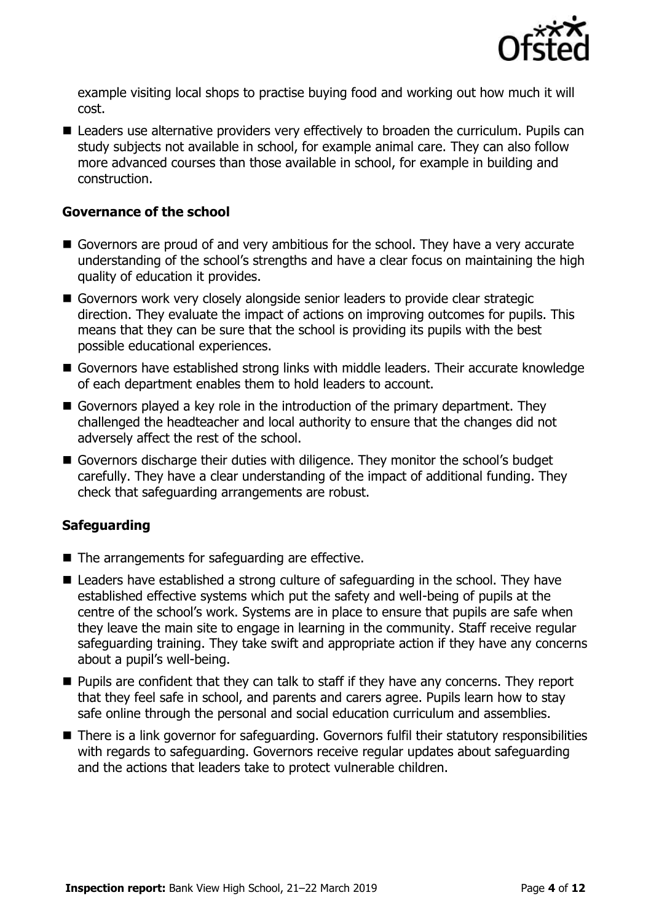

example visiting local shops to practise buying food and working out how much it will cost.

■ Leaders use alternative providers very effectively to broaden the curriculum. Pupils can study subjects not available in school, for example animal care. They can also follow more advanced courses than those available in school, for example in building and construction.

#### **Governance of the school**

- Governors are proud of and very ambitious for the school. They have a very accurate understanding of the school's strengths and have a clear focus on maintaining the high quality of education it provides.
- Governors work very closely alongside senior leaders to provide clear strategic direction. They evaluate the impact of actions on improving outcomes for pupils. This means that they can be sure that the school is providing its pupils with the best possible educational experiences.
- Governors have established strong links with middle leaders. Their accurate knowledge of each department enables them to hold leaders to account.
- Governors played a key role in the introduction of the primary department. They challenged the headteacher and local authority to ensure that the changes did not adversely affect the rest of the school.
- Governors discharge their duties with diligence. They monitor the school's budget carefully. They have a clear understanding of the impact of additional funding. They check that safeguarding arrangements are robust.

### **Safeguarding**

- The arrangements for safeguarding are effective.
- Leaders have established a strong culture of safeguarding in the school. They have established effective systems which put the safety and well-being of pupils at the centre of the school's work. Systems are in place to ensure that pupils are safe when they leave the main site to engage in learning in the community. Staff receive regular safeguarding training. They take swift and appropriate action if they have any concerns about a pupil's well-being.
- Pupils are confident that they can talk to staff if they have any concerns. They report that they feel safe in school, and parents and carers agree. Pupils learn how to stay safe online through the personal and social education curriculum and assemblies.
- There is a link governor for safeguarding. Governors fulfil their statutory responsibilities with regards to safeguarding. Governors receive regular updates about safeguarding and the actions that leaders take to protect vulnerable children.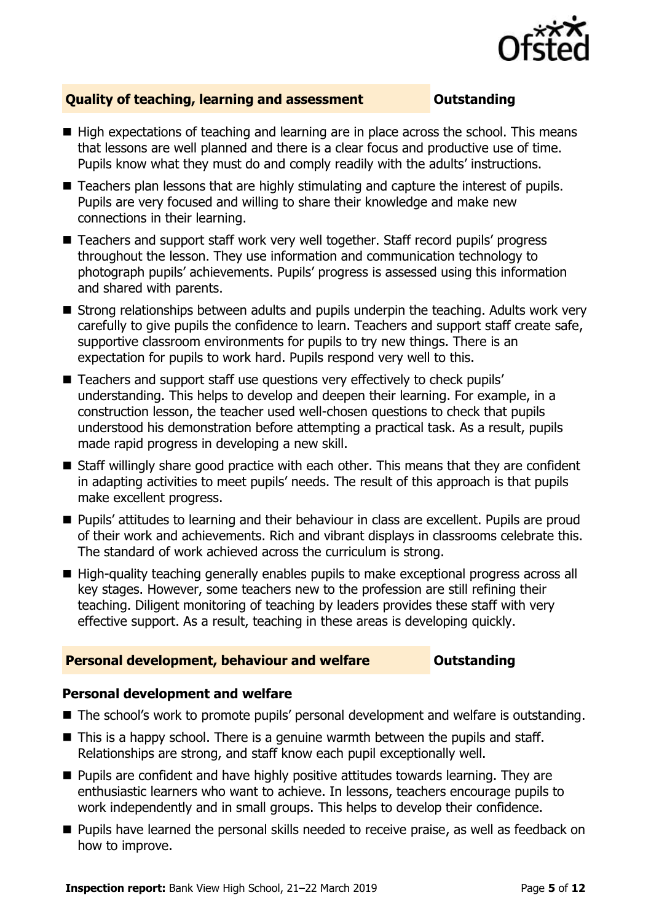

### **Quality of teaching, learning and assessment Outstanding**

- High expectations of teaching and learning are in place across the school. This means that lessons are well planned and there is a clear focus and productive use of time. Pupils know what they must do and comply readily with the adults' instructions.
- Teachers plan lessons that are highly stimulating and capture the interest of pupils. Pupils are very focused and willing to share their knowledge and make new connections in their learning.
- Teachers and support staff work very well together. Staff record pupils' progress throughout the lesson. They use information and communication technology to photograph pupils' achievements. Pupils' progress is assessed using this information and shared with parents.
- Strong relationships between adults and pupils underpin the teaching. Adults work very carefully to give pupils the confidence to learn. Teachers and support staff create safe, supportive classroom environments for pupils to try new things. There is an expectation for pupils to work hard. Pupils respond very well to this.
- Teachers and support staff use questions very effectively to check pupils' understanding. This helps to develop and deepen their learning. For example, in a construction lesson, the teacher used well-chosen questions to check that pupils understood his demonstration before attempting a practical task. As a result, pupils made rapid progress in developing a new skill.
- Staff willingly share good practice with each other. This means that they are confident in adapting activities to meet pupils' needs. The result of this approach is that pupils make excellent progress.
- Pupils' attitudes to learning and their behaviour in class are excellent. Pupils are proud of their work and achievements. Rich and vibrant displays in classrooms celebrate this. The standard of work achieved across the curriculum is strong.
- High-quality teaching generally enables pupils to make exceptional progress across all key stages. However, some teachers new to the profession are still refining their teaching. Diligent monitoring of teaching by leaders provides these staff with very effective support. As a result, teaching in these areas is developing quickly.

#### **Personal development, behaviour and welfare <b>COU COULDER** Outstanding

#### **Personal development and welfare**

- The school's work to promote pupils' personal development and welfare is outstanding.
- This is a happy school. There is a genuine warmth between the pupils and staff. Relationships are strong, and staff know each pupil exceptionally well.
- Pupils are confident and have highly positive attitudes towards learning. They are enthusiastic learners who want to achieve. In lessons, teachers encourage pupils to work independently and in small groups. This helps to develop their confidence.
- Pupils have learned the personal skills needed to receive praise, as well as feedback on how to improve.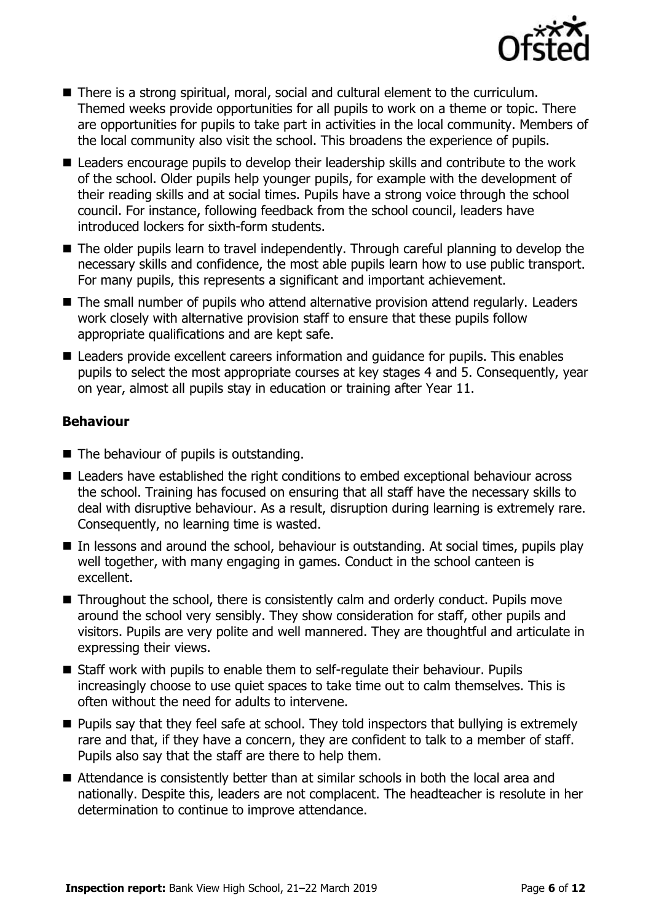

- There is a strong spiritual, moral, social and cultural element to the curriculum. Themed weeks provide opportunities for all pupils to work on a theme or topic. There are opportunities for pupils to take part in activities in the local community. Members of the local community also visit the school. This broadens the experience of pupils.
- Leaders encourage pupils to develop their leadership skills and contribute to the work of the school. Older pupils help younger pupils, for example with the development of their reading skills and at social times. Pupils have a strong voice through the school council. For instance, following feedback from the school council, leaders have introduced lockers for sixth-form students.
- The older pupils learn to travel independently. Through careful planning to develop the necessary skills and confidence, the most able pupils learn how to use public transport. For many pupils, this represents a significant and important achievement.
- The small number of pupils who attend alternative provision attend regularly. Leaders work closely with alternative provision staff to ensure that these pupils follow appropriate qualifications and are kept safe.
- Leaders provide excellent careers information and guidance for pupils. This enables pupils to select the most appropriate courses at key stages 4 and 5. Consequently, year on year, almost all pupils stay in education or training after Year 11.

### **Behaviour**

- The behaviour of pupils is outstanding.
- Leaders have established the right conditions to embed exceptional behaviour across the school. Training has focused on ensuring that all staff have the necessary skills to deal with disruptive behaviour. As a result, disruption during learning is extremely rare. Consequently, no learning time is wasted.
- In lessons and around the school, behaviour is outstanding. At social times, pupils play well together, with many engaging in games. Conduct in the school canteen is excellent.
- Throughout the school, there is consistently calm and orderly conduct. Pupils move around the school very sensibly. They show consideration for staff, other pupils and visitors. Pupils are very polite and well mannered. They are thoughtful and articulate in expressing their views.
- Staff work with pupils to enable them to self-regulate their behaviour. Pupils increasingly choose to use quiet spaces to take time out to calm themselves. This is often without the need for adults to intervene.
- Pupils say that they feel safe at school. They told inspectors that bullying is extremely rare and that, if they have a concern, they are confident to talk to a member of staff. Pupils also say that the staff are there to help them.
- Attendance is consistently better than at similar schools in both the local area and nationally. Despite this, leaders are not complacent. The headteacher is resolute in her determination to continue to improve attendance.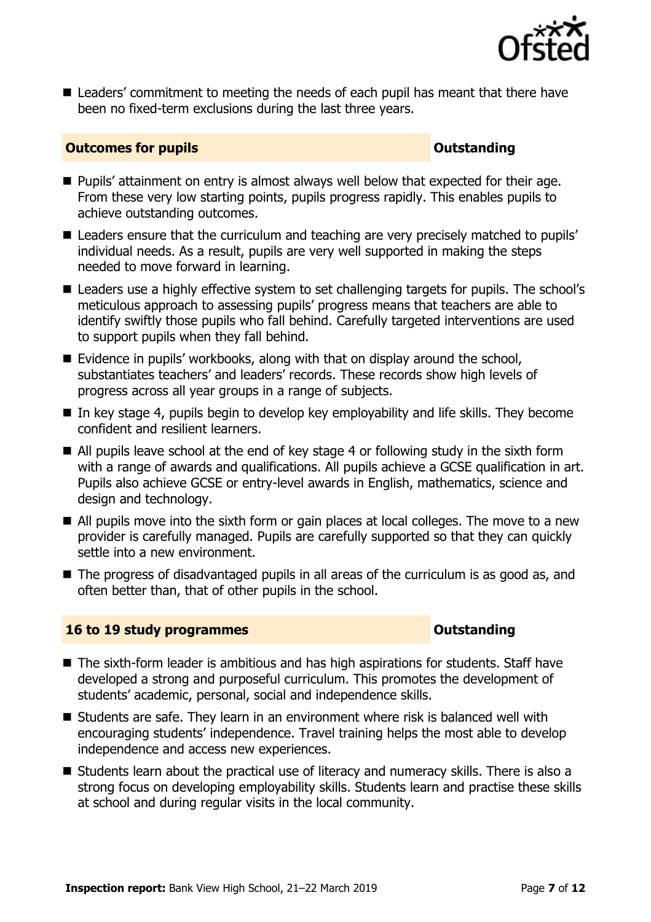

■ Leaders' commitment to meeting the needs of each pupil has meant that there have been no fixed-term exclusions during the last three years.

### **Outcomes for pupils Outstanding**

- Pupils' attainment on entry is almost always well below that expected for their age. From these very low starting points, pupils progress rapidly. This enables pupils to achieve outstanding outcomes.
- Leaders ensure that the curriculum and teaching are very precisely matched to pupils' individual needs. As a result, pupils are very well supported in making the steps needed to move forward in learning.
- Leaders use a highly effective system to set challenging targets for pupils. The school's meticulous approach to assessing pupils' progress means that teachers are able to identify swiftly those pupils who fall behind. Carefully targeted interventions are used to support pupils when they fall behind.
- $\blacksquare$  Evidence in pupils' workbooks, along with that on display around the school, substantiates teachers' and leaders' records. These records show high levels of progress across all year groups in a range of subjects.
- In key stage 4, pupils begin to develop key employability and life skills. They become confident and resilient learners.
- All pupils leave school at the end of key stage 4 or following study in the sixth form with a range of awards and qualifications. All pupils achieve a GCSE qualification in art. Pupils also achieve GCSE or entry-level awards in English, mathematics, science and design and technology.
- All pupils move into the sixth form or gain places at local colleges. The move to a new provider is carefully managed. Pupils are carefully supported so that they can quickly settle into a new environment.
- The progress of disadvantaged pupils in all areas of the curriculum is as good as, and often better than, that of other pupils in the school.

### **16 to 19 study programmes Distances Outstanding**

- The sixth-form leader is ambitious and has high aspirations for students. Staff have developed a strong and purposeful curriculum. This promotes the development of students' academic, personal, social and independence skills.
- Students are safe. They learn in an environment where risk is balanced well with encouraging students' independence. Travel training helps the most able to develop independence and access new experiences.
- Students learn about the practical use of literacy and numeracy skills. There is also a strong focus on developing employability skills. Students learn and practise these skills at school and during regular visits in the local community.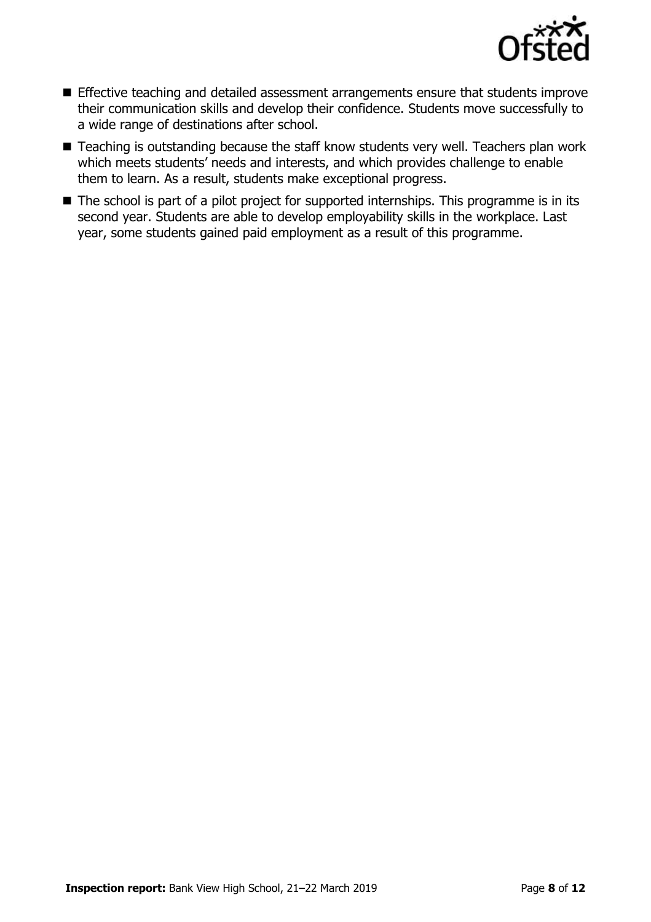

- Effective teaching and detailed assessment arrangements ensure that students improve their communication skills and develop their confidence. Students move successfully to a wide range of destinations after school.
- Teaching is outstanding because the staff know students very well. Teachers plan work which meets students' needs and interests, and which provides challenge to enable them to learn. As a result, students make exceptional progress.
- The school is part of a pilot project for supported internships. This programme is in its second year. Students are able to develop employability skills in the workplace. Last year, some students gained paid employment as a result of this programme.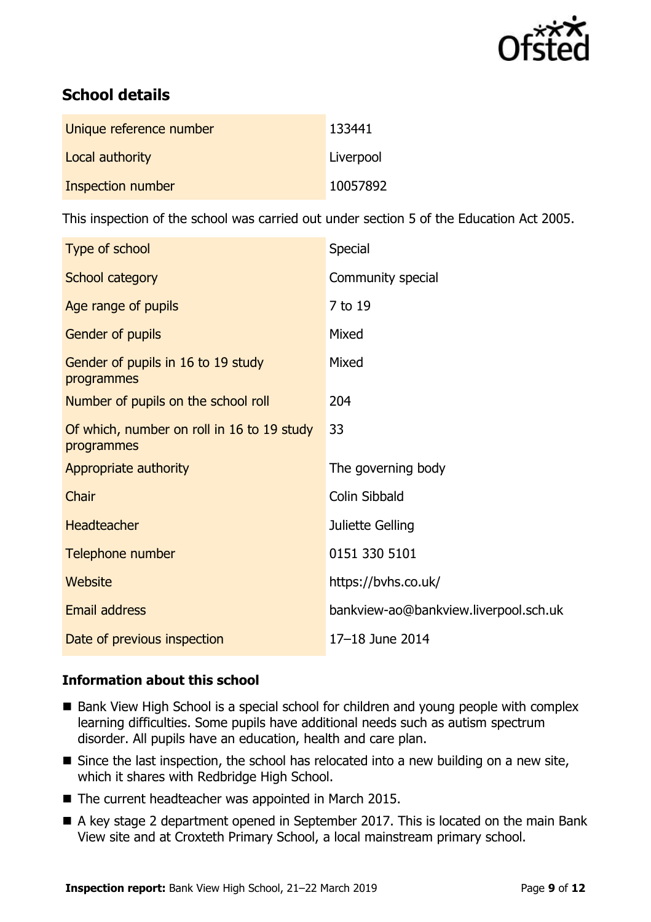

# **School details**

| Unique reference number | 133441    |
|-------------------------|-----------|
| Local authority         | Liverpool |
| Inspection number       | 10057892  |

This inspection of the school was carried out under section 5 of the Education Act 2005.

| Type of school                                           | Special                               |
|----------------------------------------------------------|---------------------------------------|
| School category                                          | Community special                     |
| Age range of pupils                                      | 7 to 19                               |
| Gender of pupils                                         | Mixed                                 |
| Gender of pupils in 16 to 19 study<br>programmes         | Mixed                                 |
| Number of pupils on the school roll                      | 204                                   |
| Of which, number on roll in 16 to 19 study<br>programmes | 33                                    |
| Appropriate authority                                    | The governing body                    |
| Chair                                                    | Colin Sibbald                         |
| <b>Headteacher</b>                                       | Juliette Gelling                      |
| Telephone number                                         | 0151 330 5101                         |
| <b>Website</b>                                           | https://bvhs.co.uk/                   |
| <b>Email address</b>                                     | bankview-ao@bankview.liverpool.sch.uk |
| Date of previous inspection                              | 17-18 June 2014                       |

### **Information about this school**

- Bank View High School is a special school for children and young people with complex learning difficulties. Some pupils have additional needs such as autism spectrum disorder. All pupils have an education, health and care plan.
- Since the last inspection, the school has relocated into a new building on a new site, which it shares with Redbridge High School.
- The current headteacher was appointed in March 2015.
- A key stage 2 department opened in September 2017. This is located on the main Bank View site and at Croxteth Primary School, a local mainstream primary school.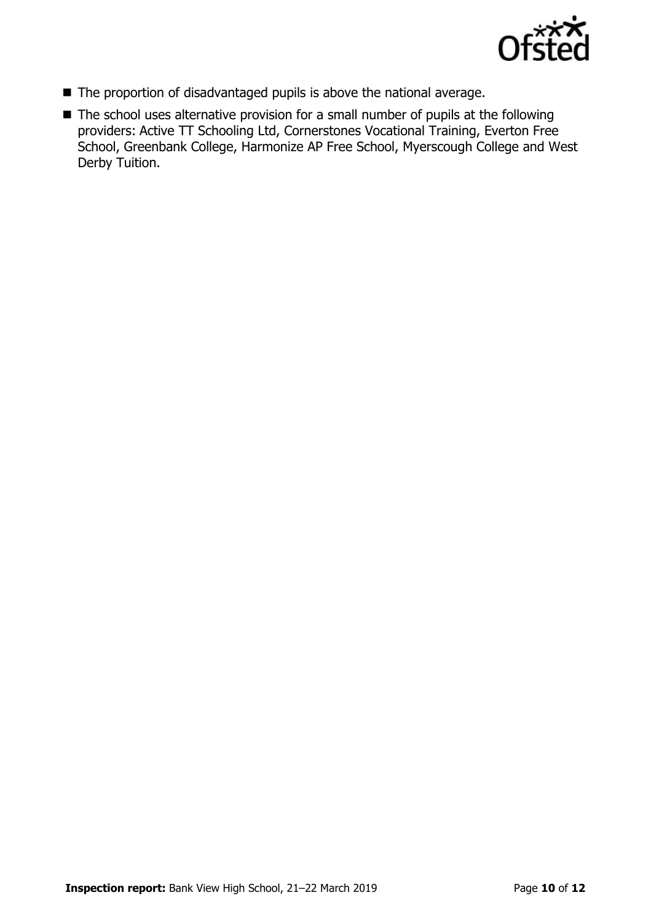

- The proportion of disadvantaged pupils is above the national average.
- The school uses alternative provision for a small number of pupils at the following providers: Active TT Schooling Ltd, Cornerstones Vocational Training, Everton Free School, Greenbank College, Harmonize AP Free School, Myerscough College and West Derby Tuition.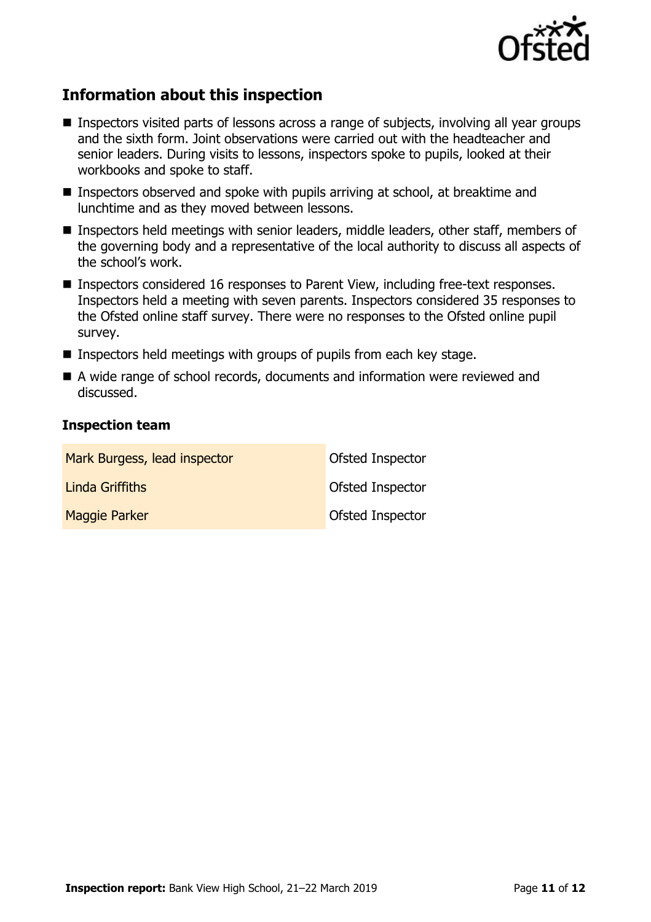

# **Information about this inspection**

- Inspectors visited parts of lessons across a range of subjects, involving all year groups and the sixth form. Joint observations were carried out with the headteacher and senior leaders. During visits to lessons, inspectors spoke to pupils, looked at their workbooks and spoke to staff.
- Inspectors observed and spoke with pupils arriving at school, at breaktime and lunchtime and as they moved between lessons.
- Inspectors held meetings with senior leaders, middle leaders, other staff, members of the governing body and a representative of the local authority to discuss all aspects of the school's work.
- Inspectors considered 16 responses to Parent View, including free-text responses. Inspectors held a meeting with seven parents. Inspectors considered 35 responses to the Ofsted online staff survey. There were no responses to the Ofsted online pupil survey.
- Inspectors held meetings with groups of pupils from each key stage.
- A wide range of school records, documents and information were reviewed and discussed.

#### **Inspection team**

| Mark Burgess, lead inspector | Ofsted Inspector        |
|------------------------------|-------------------------|
| Linda Griffiths              | <b>Ofsted Inspector</b> |
| <b>Maggie Parker</b>         | Ofsted Inspector        |